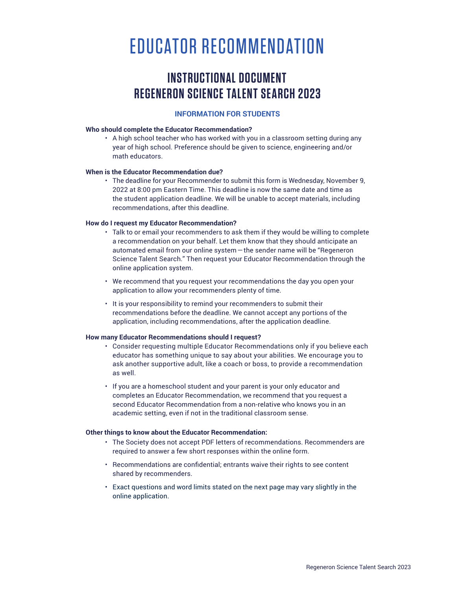# EDUCATOR RECOMMENDATION

## **INSTRUCTIONAL DOCUMENT REGENERON SCIENCE TALENT SEARCH 2023**

### **INFORMATION FOR STUDENTS**

#### **Who should complete the Educator Recommendation?**

• A high school teacher who has worked with you in a classroom setting during any year of high school. Preference should be given to science, engineering and/or math educators.

#### **When is the Educator Recommendation due?**

• The deadline for your Recommender to submit this form is Wednesday, November 9, 2022 at 8:00 pm Eastern Time. This deadline is now the same date and time as the student application deadline. We will be unable to accept materials, including recommendations, after this deadline.

#### **How do I request my Educator Recommendation?**

- Talk to or email your recommenders to ask them if they would be willing to complete a recommendation on your behalf. Let them know that they should anticipate an automated email from our online system—the sender name will be "Regeneron Science Talent Search." Then request your Educator Recommendation through the online application system.
- We recommend that you request your recommendations the day you open your application to allow your recommenders plenty of time.
- It is your responsibility to remind your recommenders to submit their recommendations before the deadline. We cannot accept any portions of the application, including recommendations, after the application deadline.

#### **How many Educator Recommendations should I request?**

- Consider requesting multiple Educator Recommendations only if you believe each educator has something unique to say about your abilities. We encourage you to ask another supportive adult, like a coach or boss, to provide a recommendation as well.
- If you are a homeschool student and your parent is your only educator and completes an Educator Recommendation, we recommend that you request a second Educator Recommendation from a non-relative who knows you in an academic setting, even if not in the traditional classroom sense.

#### **Other things to know about the Educator Recommendation:**

- The Society does not accept PDF letters of recommendations. Recommenders are required to answer a few short responses within the online form.
- Recommendations are confidential; entrants waive their rights to see content shared by recommenders.
- Exact questions and word limits stated on the next page may vary slightly in the online application.